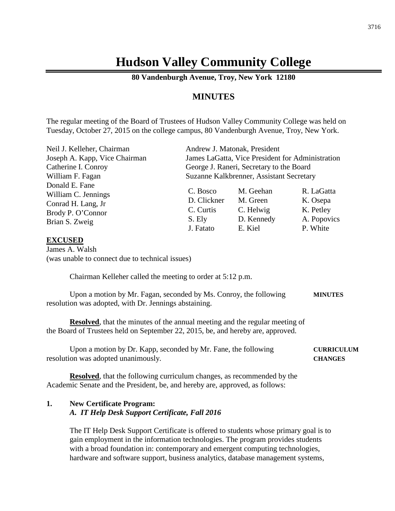# **Hudson Valley Community College**

**80 Vandenburgh Avenue, Troy, New York 12180**

## **MINUTES**

The regular meeting of the Board of Trustees of Hudson Valley Community College was held on Tuesday, October 27, 2015 on the college campus, 80 Vandenburgh Avenue, Troy, New York.

| Neil J. Kelleher, Chairman                                  |                                                  | Andrew J. Matonak, President       |                                     |  |
|-------------------------------------------------------------|--------------------------------------------------|------------------------------------|-------------------------------------|--|
| Joseph A. Kapp, Vice Chairman                               | James LaGatta, Vice President for Administration |                                    |                                     |  |
| Catherine I. Conroy                                         | George J. Raneri, Secretary to the Board         |                                    |                                     |  |
| William F. Fagan                                            | Suzanne Kalkbrenner, Assistant Secretary         |                                    |                                     |  |
| Donald E. Fane<br>William C. Jennings<br>Conrad H. Lang, Jr | C. Bosco<br>D. Clickner<br>C. Curtis             | M. Geehan<br>M. Green<br>C. Helwig | R. LaGatta<br>K. Osepa<br>K. Petley |  |
| Brody P. O'Connor<br>Brian S. Zweig                         | S. Ely<br>J. Fatato                              | D. Kennedy<br>E. Kiel              | A. Popovics<br>P. White             |  |

#### **EXCUSED**

James A. Walsh (was unable to connect due to technical issues)

Chairman Kelleher called the meeting to order at 5:12 p.m.

Upon a motion by Mr. Fagan, seconded by Ms. Conroy, the following **MINUTES** resolution was adopted, with Dr. Jennings abstaining.

**Resolved**, that the minutes of the annual meeting and the regular meeting of the Board of Trustees held on September 22, 2015, be, and hereby are, approved.

Upon a motion by Dr. Kapp, seconded by Mr. Fane, the following **CURRICULUM** resolution was adopted unanimously. **CHANGES**

**Resolved**, that the following curriculum changes, as recommended by the Academic Senate and the President, be, and hereby are, approved, as follows:

## **1. New Certificate Program:** *A. IT Help Desk Support Certificate, Fall 2016*

The IT Help Desk Support Certificate is offered to students whose primary goal is to gain employment in the information technologies. The program provides students with a broad foundation in: contemporary and emergent computing technologies, hardware and software support, business analytics, database management systems,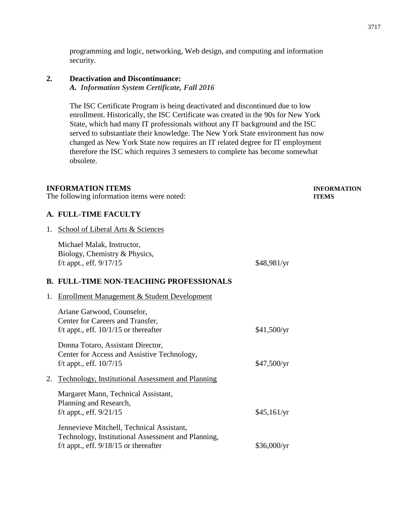programming and logic, networking, Web design, and computing and information security.

## **2. Deactivation and Discontinuance:**

*A. Information System Certificate, Fall 2016*

The ISC Certificate Program is being deactivated and discontinued due to low enrollment. Historically, the ISC Certificate was created in the 90s for New York State, which had many IT professionals without any IT background and the ISC served to substantiate their knowledge. The New York State environment has now changed as New York State now requires an IT related degree for IT employment therefore the ISC which requires 3 semesters to complete has become somewhat obsolete.

#### **INFORMATION ITEMS INFORMATION**

The following information items were noted: **ITEMS**

#### **A. FULL-TIME FACULTY**

1. School of Liberal Arts & Sciences

|    | Michael Malak, Instructor,<br>Biology, Chemistry & Physics,<br>f/t appt., eff. 9/17/15                                                     | \$48,981/yr |
|----|--------------------------------------------------------------------------------------------------------------------------------------------|-------------|
|    | <b>B. FULL-TIME NON-TEACHING PROFESSIONALS</b>                                                                                             |             |
| 1. | <b>Enrollment Management &amp; Student Development</b>                                                                                     |             |
|    | Ariane Garwood, Counselor,<br>Center for Careers and Transfer,<br>f/t appt., eff. $10/1/15$ or thereafter                                  | \$41,500/yr |
|    | Donna Totaro, Assistant Director,<br>Center for Access and Assistive Technology,<br>f/t appt., eff. $10/7/15$                              | \$47,500/yr |
| 2. | <b>Technology, Institutional Assessment and Planning</b>                                                                                   |             |
|    | Margaret Mann, Technical Assistant,<br>Planning and Research,<br>f/t appt., eff. $9/21/15$                                                 | \$45,161/yr |
|    | Jennevieve Mitchell, Technical Assistant,<br>Technology, Institutional Assessment and Planning,<br>f/t appt., eff. $9/18/15$ or thereafter | \$36,000/yr |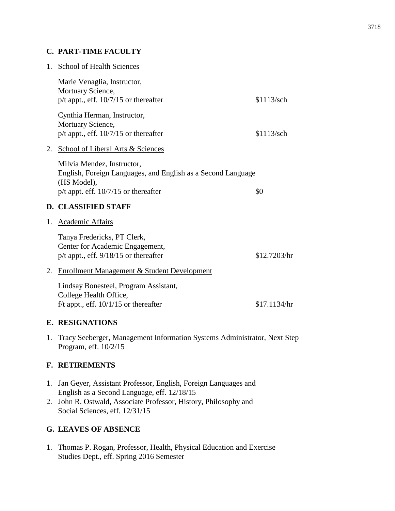## **C. PART-TIME FACULTY**

| 1. | School of Health Sciences                                                                                                                           |              |
|----|-----------------------------------------------------------------------------------------------------------------------------------------------------|--------------|
|    | Marie Venaglia, Instructor,<br>Mortuary Science,<br>$p/t$ appt., eff. 10/7/15 or thereafter                                                         | \$1113/sch   |
|    | Cynthia Herman, Instructor,<br>Mortuary Science,<br>$p/t$ appt., eff. $10/7/15$ or thereafter                                                       | \$1113/sch   |
| 2. | <b>School of Liberal Arts &amp; Sciences</b>                                                                                                        |              |
|    | Milvia Mendez, Instructor,<br>English, Foreign Languages, and English as a Second Language<br>(HS Model),<br>$p/t$ appt. eff. 10/7/15 or thereafter | \$0          |
|    | <b>D. CLASSIFIED STAFF</b>                                                                                                                          |              |
| 1. | <b>Academic Affairs</b>                                                                                                                             |              |
|    | Tanya Fredericks, PT Clerk,<br>Center for Academic Engagement,<br>p/t appt., eff. 9/18/15 or thereafter                                             | \$12.7203/hr |
| 2. | Enrollment Management & Student Development                                                                                                         |              |
|    | Lindsay Bonesteel, Program Assistant,<br>College Health Office,<br>f/t appt., eff. $10/1/15$ or thereafter                                          | \$17.1134/hr |
|    | <b>E. RESIGNATIONS</b>                                                                                                                              |              |

1. Tracy Seeberger, Management Information Systems Administrator, Next Step Program, eff. 10/2/15

# **F. RETIREMENTS**

- 1. Jan Geyer, Assistant Professor, English, Foreign Languages and English as a Second Language, eff. 12/18/15
- 2. John R. Ostwald, Associate Professor, History, Philosophy and Social Sciences, eff. 12/31/15

# **G. LEAVES OF ABSENCE**

1. Thomas P. Rogan, Professor, Health, Physical Education and Exercise Studies Dept., eff. Spring 2016 Semester